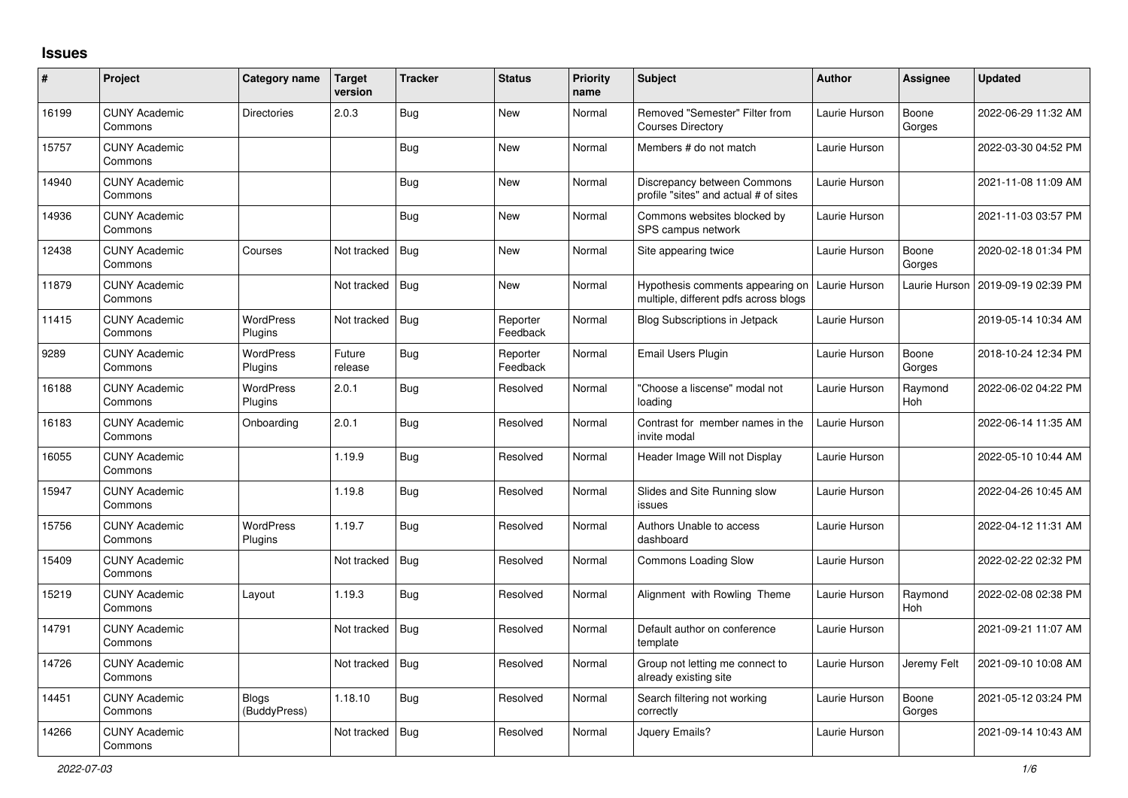## **Issues**

| $\vert$ # | Project                         | Category name                | <b>Target</b><br>version | <b>Tracker</b> | <b>Status</b>        | <b>Priority</b><br>name | <b>Subject</b>                                                            | <b>Author</b> | Assignee              | <b>Updated</b>      |
|-----------|---------------------------------|------------------------------|--------------------------|----------------|----------------------|-------------------------|---------------------------------------------------------------------------|---------------|-----------------------|---------------------|
| 16199     | <b>CUNY Academic</b><br>Commons | <b>Directories</b>           | 2.0.3                    | <b>Bug</b>     | New                  | Normal                  | Removed "Semester" Filter from<br><b>Courses Directory</b>                | Laurie Hurson | Boone<br>Gorges       | 2022-06-29 11:32 AM |
| 15757     | <b>CUNY Academic</b><br>Commons |                              |                          | <b>Bug</b>     | New                  | Normal                  | Members # do not match                                                    | Laurie Hurson |                       | 2022-03-30 04:52 PM |
| 14940     | <b>CUNY Academic</b><br>Commons |                              |                          | Bug            | New                  | Normal                  | Discrepancy between Commons<br>profile "sites" and actual # of sites      | Laurie Hurson |                       | 2021-11-08 11:09 AM |
| 14936     | <b>CUNY Academic</b><br>Commons |                              |                          | <b>Bug</b>     | New                  | Normal                  | Commons websites blocked by<br>SPS campus network                         | Laurie Hurson |                       | 2021-11-03 03:57 PM |
| 12438     | <b>CUNY Academic</b><br>Commons | Courses                      | Not tracked              | Bug            | New                  | Normal                  | Site appearing twice                                                      | Laurie Hurson | Boone<br>Gorges       | 2020-02-18 01:34 PM |
| 11879     | <b>CUNY Academic</b><br>Commons |                              | Not tracked              | <b>Bug</b>     | New                  | Normal                  | Hypothesis comments appearing on<br>multiple, different pdfs across blogs | Laurie Hurson | Laurie Hurson         | 2019-09-19 02:39 PM |
| 11415     | <b>CUNY Academic</b><br>Commons | <b>WordPress</b><br>Plugins  | Not tracked              | <b>Bug</b>     | Reporter<br>Feedback | Normal                  | <b>Blog Subscriptions in Jetpack</b>                                      | Laurie Hurson |                       | 2019-05-14 10:34 AM |
| 9289      | <b>CUNY Academic</b><br>Commons | WordPress<br>Plugins         | Future<br>release        | <b>Bug</b>     | Reporter<br>Feedback | Normal                  | Email Users Plugin                                                        | Laurie Hurson | Boone<br>Gorges       | 2018-10-24 12:34 PM |
| 16188     | <b>CUNY Academic</b><br>Commons | <b>WordPress</b><br>Plugins  | 2.0.1                    | Bug            | Resolved             | Normal                  | "Choose a liscense" modal not<br>loading                                  | Laurie Hurson | Raymond<br><b>Hoh</b> | 2022-06-02 04:22 PM |
| 16183     | <b>CUNY Academic</b><br>Commons | Onboarding                   | 2.0.1                    | <b>Bug</b>     | Resolved             | Normal                  | Contrast for member names in the<br>invite modal                          | Laurie Hurson |                       | 2022-06-14 11:35 AM |
| 16055     | <b>CUNY Academic</b><br>Commons |                              | 1.19.9                   | Bug            | Resolved             | Normal                  | Header Image Will not Display                                             | Laurie Hurson |                       | 2022-05-10 10:44 AM |
| 15947     | <b>CUNY Academic</b><br>Commons |                              | 1.19.8                   | <b>Bug</b>     | Resolved             | Normal                  | Slides and Site Running slow<br>issues                                    | Laurie Hurson |                       | 2022-04-26 10:45 AM |
| 15756     | <b>CUNY Academic</b><br>Commons | <b>WordPress</b><br>Plugins  | 1.19.7                   | Bug            | Resolved             | Normal                  | Authors Unable to access<br>dashboard                                     | Laurie Hurson |                       | 2022-04-12 11:31 AM |
| 15409     | <b>CUNY Academic</b><br>Commons |                              | Not tracked              | <b>Bug</b>     | Resolved             | Normal                  | Commons Loading Slow                                                      | Laurie Hurson |                       | 2022-02-22 02:32 PM |
| 15219     | <b>CUNY Academic</b><br>Commons | Layout                       | 1.19.3                   | Bug            | Resolved             | Normal                  | Alignment with Rowling Theme                                              | Laurie Hurson | Raymond<br><b>Hoh</b> | 2022-02-08 02:38 PM |
| 14791     | <b>CUNY Academic</b><br>Commons |                              | Not tracked              | <b>Bug</b>     | Resolved             | Normal                  | Default author on conference<br>template                                  | Laurie Hurson |                       | 2021-09-21 11:07 AM |
| 14726     | <b>CUNY Academic</b><br>Commons |                              | Not tracked              | <b>Bug</b>     | Resolved             | Normal                  | Group not letting me connect to<br>already existing site                  | Laurie Hurson | Jeremy Felt           | 2021-09-10 10:08 AM |
| 14451     | <b>CUNY Academic</b><br>Commons | <b>Blogs</b><br>(BuddyPress) | 1.18.10                  | <b>Bug</b>     | Resolved             | Normal                  | Search filtering not working<br>correctly                                 | Laurie Hurson | Boone<br>Gorges       | 2021-05-12 03:24 PM |
| 14266     | <b>CUNY Academic</b><br>Commons |                              | Not tracked              | <b>Bug</b>     | Resolved             | Normal                  | Jquery Emails?                                                            | Laurie Hurson |                       | 2021-09-14 10:43 AM |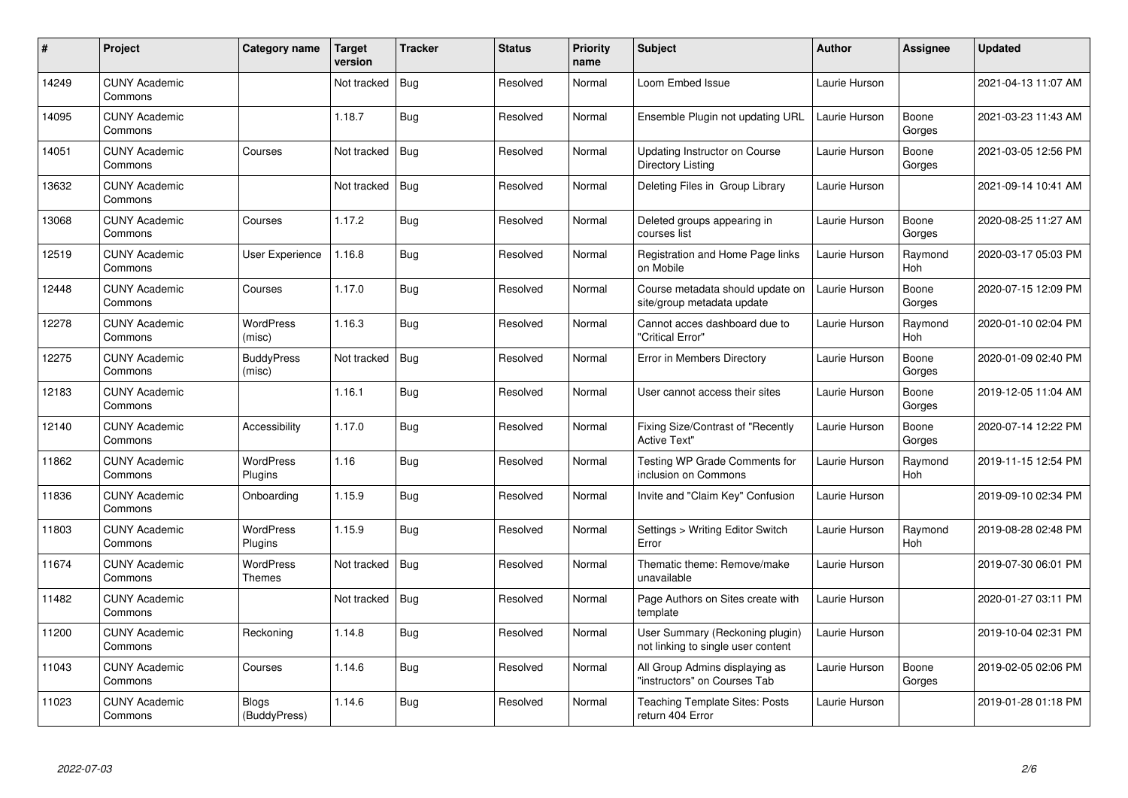| $\pmb{\#}$ | Project                         | Category name                | Target<br>version | <b>Tracker</b> | <b>Status</b> | Priority<br>name | <b>Subject</b>                                                        | <b>Author</b> | Assignee              | <b>Updated</b>      |
|------------|---------------------------------|------------------------------|-------------------|----------------|---------------|------------------|-----------------------------------------------------------------------|---------------|-----------------------|---------------------|
| 14249      | <b>CUNY Academic</b><br>Commons |                              | Not tracked       | <b>Bug</b>     | Resolved      | Normal           | Loom Embed Issue                                                      | Laurie Hurson |                       | 2021-04-13 11:07 AM |
| 14095      | <b>CUNY Academic</b><br>Commons |                              | 1.18.7            | Bug            | Resolved      | Normal           | Ensemble Plugin not updating URL                                      | Laurie Hurson | Boone<br>Gorges       | 2021-03-23 11:43 AM |
| 14051      | <b>CUNY Academic</b><br>Commons | Courses                      | Not tracked       | <b>Bug</b>     | Resolved      | Normal           | <b>Updating Instructor on Course</b><br>Directory Listing             | Laurie Hurson | Boone<br>Gorges       | 2021-03-05 12:56 PM |
| 13632      | <b>CUNY Academic</b><br>Commons |                              | Not tracked       | Bug            | Resolved      | Normal           | Deleting Files in Group Library                                       | Laurie Hurson |                       | 2021-09-14 10:41 AM |
| 13068      | <b>CUNY Academic</b><br>Commons | Courses                      | 1.17.2            | <b>Bug</b>     | Resolved      | Normal           | Deleted groups appearing in<br>courses list                           | Laurie Hurson | Boone<br>Gorges       | 2020-08-25 11:27 AM |
| 12519      | <b>CUNY Academic</b><br>Commons | <b>User Experience</b>       | 1.16.8            | <b>Bug</b>     | Resolved      | Normal           | Registration and Home Page links<br>on Mobile                         | Laurie Hurson | Raymond<br><b>Hoh</b> | 2020-03-17 05:03 PM |
| 12448      | <b>CUNY Academic</b><br>Commons | Courses                      | 1.17.0            | <b>Bug</b>     | Resolved      | Normal           | Course metadata should update on<br>site/group metadata update        | Laurie Hurson | Boone<br>Gorges       | 2020-07-15 12:09 PM |
| 12278      | <b>CUNY Academic</b><br>Commons | <b>WordPress</b><br>(misc)   | 1.16.3            | <b>Bug</b>     | Resolved      | Normal           | Cannot acces dashboard due to<br>"Critical Error"                     | Laurie Hurson | Raymond<br>Hoh        | 2020-01-10 02:04 PM |
| 12275      | <b>CUNY Academic</b><br>Commons | <b>BuddyPress</b><br>(misc)  | Not tracked       | Bug            | Resolved      | Normal           | Error in Members Directory                                            | Laurie Hurson | Boone<br>Gorges       | 2020-01-09 02:40 PM |
| 12183      | <b>CUNY Academic</b><br>Commons |                              | 1.16.1            | Bug            | Resolved      | Normal           | User cannot access their sites                                        | Laurie Hurson | Boone<br>Gorges       | 2019-12-05 11:04 AM |
| 12140      | <b>CUNY Academic</b><br>Commons | Accessibility                | 1.17.0            | Bug            | Resolved      | Normal           | Fixing Size/Contrast of "Recently<br><b>Active Text"</b>              | Laurie Hurson | Boone<br>Gorges       | 2020-07-14 12:22 PM |
| 11862      | <b>CUNY Academic</b><br>Commons | WordPress<br>Plugins         | 1.16              | <b>Bug</b>     | Resolved      | Normal           | Testing WP Grade Comments for<br>inclusion on Commons                 | Laurie Hurson | Raymond<br>Hoh        | 2019-11-15 12:54 PM |
| 11836      | <b>CUNY Academic</b><br>Commons | Onboarding                   | 1.15.9            | <b>Bug</b>     | Resolved      | Normal           | Invite and "Claim Key" Confusion                                      | Laurie Hurson |                       | 2019-09-10 02:34 PM |
| 11803      | <b>CUNY Academic</b><br>Commons | WordPress<br>Plugins         | 1.15.9            | Bug            | Resolved      | Normal           | Settings > Writing Editor Switch<br>Error                             | Laurie Hurson | Raymond<br>Hoh        | 2019-08-28 02:48 PM |
| 11674      | <b>CUNY Academic</b><br>Commons | <b>WordPress</b><br>Themes   | Not tracked       | <b>Bug</b>     | Resolved      | Normal           | Thematic theme: Remove/make<br>unavailable                            | Laurie Hurson |                       | 2019-07-30 06:01 PM |
| 11482      | <b>CUNY Academic</b><br>Commons |                              | Not tracked       | Bug            | Resolved      | Normal           | Page Authors on Sites create with<br>template                         | Laurie Hurson |                       | 2020-01-27 03:11 PM |
| 11200      | <b>CUNY Academic</b><br>Commons | Reckoning                    | 1.14.8            | <b>Bug</b>     | Resolved      | Normal           | User Summary (Reckoning plugin)<br>not linking to single user content | Laurie Hurson |                       | 2019-10-04 02:31 PM |
| 11043      | <b>CUNY Academic</b><br>Commons | Courses                      | 1.14.6            | Bug            | Resolved      | Normal           | All Group Admins displaying as<br>'instructors" on Courses Tab        | Laurie Hurson | Boone<br>Gorges       | 2019-02-05 02:06 PM |
| 11023      | <b>CUNY Academic</b><br>Commons | <b>Blogs</b><br>(BuddyPress) | 1.14.6            | Bug            | Resolved      | Normal           | Teaching Template Sites: Posts<br>return 404 Error                    | Laurie Hurson |                       | 2019-01-28 01:18 PM |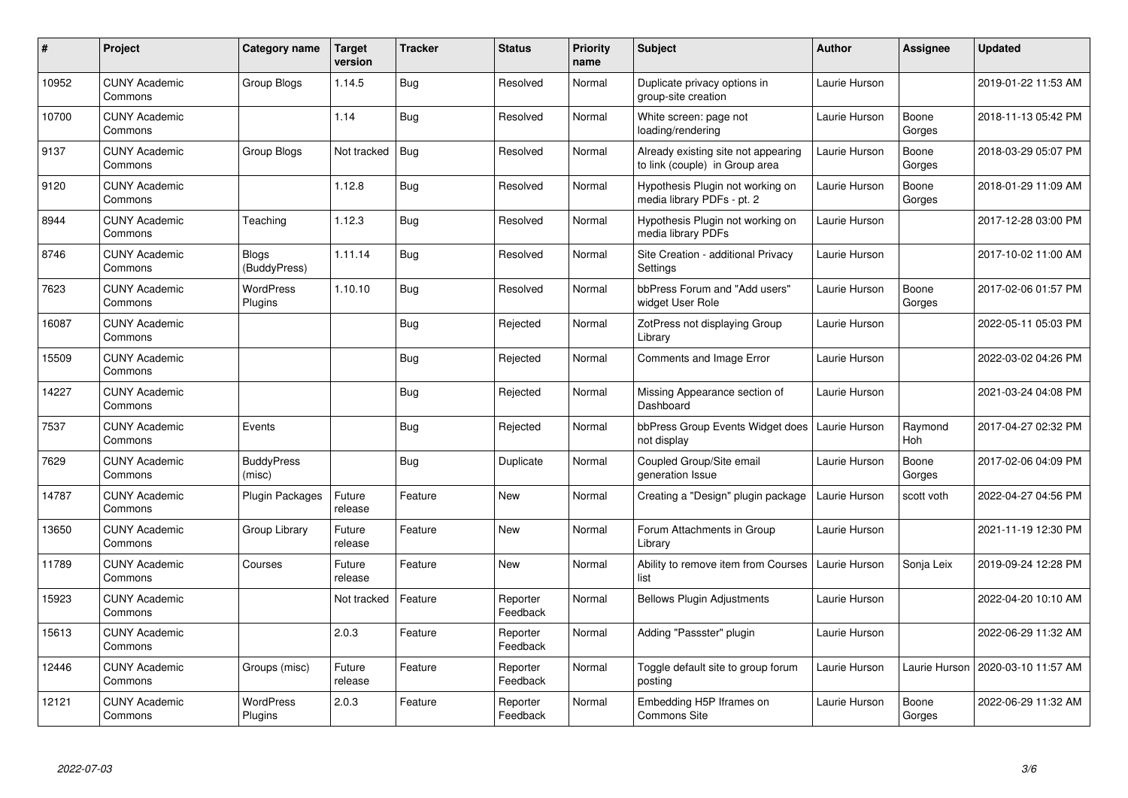| $\#$  | Project                         | Category name               | <b>Target</b><br>version | <b>Tracker</b> | <b>Status</b>        | <b>Priority</b><br>name | <b>Subject</b>                                                        | <b>Author</b> | <b>Assignee</b> | Updated             |
|-------|---------------------------------|-----------------------------|--------------------------|----------------|----------------------|-------------------------|-----------------------------------------------------------------------|---------------|-----------------|---------------------|
| 10952 | <b>CUNY Academic</b><br>Commons | Group Blogs                 | 1.14.5                   | <b>Bug</b>     | Resolved             | Normal                  | Duplicate privacy options in<br>group-site creation                   | Laurie Hurson |                 | 2019-01-22 11:53 AM |
| 10700 | <b>CUNY Academic</b><br>Commons |                             | 1.14                     | <b>Bug</b>     | Resolved             | Normal                  | White screen: page not<br>loading/rendering                           | Laurie Hurson | Boone<br>Gorges | 2018-11-13 05:42 PM |
| 9137  | <b>CUNY Academic</b><br>Commons | Group Blogs                 | Not tracked              | <b>Bug</b>     | Resolved             | Normal                  | Already existing site not appearing<br>to link (couple) in Group area | Laurie Hurson | Boone<br>Gorges | 2018-03-29 05:07 PM |
| 9120  | <b>CUNY Academic</b><br>Commons |                             | 1.12.8                   | <b>Bug</b>     | Resolved             | Normal                  | Hypothesis Plugin not working on<br>media library PDFs - pt. 2        | Laurie Hurson | Boone<br>Gorges | 2018-01-29 11:09 AM |
| 8944  | <b>CUNY Academic</b><br>Commons | Teaching                    | 1.12.3                   | Bug            | Resolved             | Normal                  | Hypothesis Plugin not working on<br>media library PDFs                | Laurie Hurson |                 | 2017-12-28 03:00 PM |
| 8746  | <b>CUNY Academic</b><br>Commons | Blogs<br>(BuddyPress)       | 1.11.14                  | Bug            | Resolved             | Normal                  | Site Creation - additional Privacy<br>Settings                        | Laurie Hurson |                 | 2017-10-02 11:00 AM |
| 7623  | <b>CUNY Academic</b><br>Commons | <b>WordPress</b><br>Plugins | 1.10.10                  | Bug            | Resolved             | Normal                  | bbPress Forum and "Add users"<br>widget User Role                     | Laurie Hurson | Boone<br>Gorges | 2017-02-06 01:57 PM |
| 16087 | <b>CUNY Academic</b><br>Commons |                             |                          | <b>Bug</b>     | Rejected             | Normal                  | ZotPress not displaying Group<br>Library                              | Laurie Hurson |                 | 2022-05-11 05:03 PM |
| 15509 | <b>CUNY Academic</b><br>Commons |                             |                          | Bug            | Rejected             | Normal                  | <b>Comments and Image Error</b>                                       | Laurie Hurson |                 | 2022-03-02 04:26 PM |
| 14227 | <b>CUNY Academic</b><br>Commons |                             |                          | Bug            | Rejected             | Normal                  | Missing Appearance section of<br>Dashboard                            | Laurie Hurson |                 | 2021-03-24 04:08 PM |
| 7537  | <b>CUNY Academic</b><br>Commons | Events                      |                          | <b>Bug</b>     | Rejected             | Normal                  | bbPress Group Events Widget does<br>not display                       | Laurie Hurson | Raymond<br>Hoh  | 2017-04-27 02:32 PM |
| 7629  | <b>CUNY Academic</b><br>Commons | <b>BuddyPress</b><br>(misc) |                          | Bug            | Duplicate            | Normal                  | Coupled Group/Site email<br>generation Issue                          | Laurie Hurson | Boone<br>Gorges | 2017-02-06 04:09 PM |
| 14787 | <b>CUNY Academic</b><br>Commons | <b>Plugin Packages</b>      | Future<br>release        | Feature        | New                  | Normal                  | Creating a "Design" plugin package                                    | Laurie Hurson | scott voth      | 2022-04-27 04:56 PM |
| 13650 | <b>CUNY Academic</b><br>Commons | Group Library               | Future<br>release        | Feature        | <b>New</b>           | Normal                  | Forum Attachments in Group<br>Library                                 | Laurie Hurson |                 | 2021-11-19 12:30 PM |
| 11789 | <b>CUNY Academic</b><br>Commons | Courses                     | Future<br>release        | Feature        | New                  | Normal                  | Ability to remove item from Courses<br>list                           | Laurie Hurson | Sonja Leix      | 2019-09-24 12:28 PM |
| 15923 | <b>CUNY Academic</b><br>Commons |                             | Not tracked              | Feature        | Reporter<br>Feedback | Normal                  | <b>Bellows Plugin Adjustments</b>                                     | Laurie Hurson |                 | 2022-04-20 10:10 AM |
| 15613 | <b>CUNY Academic</b><br>Commons |                             | 2.0.3                    | Feature        | Reporter<br>Feedback | Normal                  | Adding "Passster" plugin                                              | Laurie Hurson |                 | 2022-06-29 11:32 AM |
| 12446 | <b>CUNY Academic</b><br>Commons | Groups (misc)               | Future<br>release        | Feature        | Reporter<br>Feedback | Normal                  | Toggle default site to group forum<br>posting                         | Laurie Hurson | Laurie Hurson   | 2020-03-10 11:57 AM |
| 12121 | <b>CUNY Academic</b><br>Commons | WordPress<br>Plugins        | 2.0.3                    | Feature        | Reporter<br>Feedback | Normal                  | Embedding H5P Iframes on<br><b>Commons Site</b>                       | Laurie Hurson | Boone<br>Gorges | 2022-06-29 11:32 AM |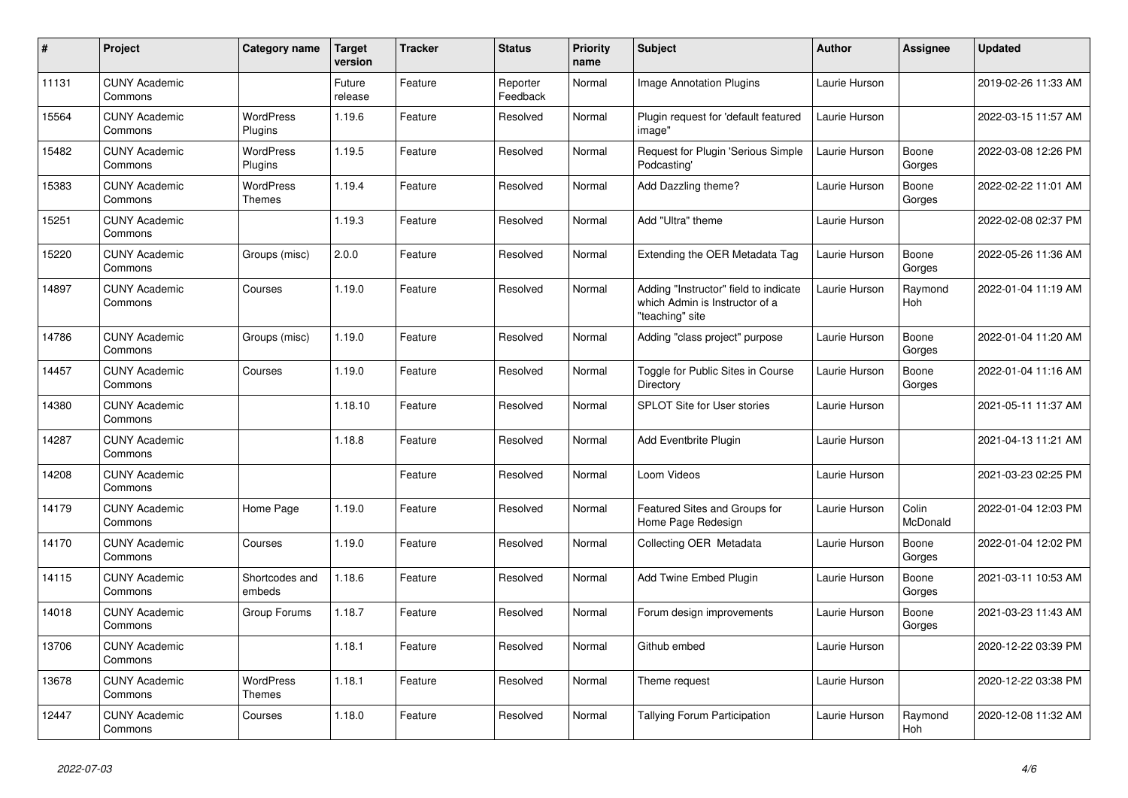| $\sharp$ | Project                         | Category name                     | <b>Target</b><br>version | <b>Tracker</b> | <b>Status</b>        | <b>Priority</b><br>name | <b>Subject</b>                                                                             | <b>Author</b> | <b>Assignee</b>       | <b>Updated</b>      |
|----------|---------------------------------|-----------------------------------|--------------------------|----------------|----------------------|-------------------------|--------------------------------------------------------------------------------------------|---------------|-----------------------|---------------------|
| 11131    | <b>CUNY Academic</b><br>Commons |                                   | Future<br>release        | Feature        | Reporter<br>Feedback | Normal                  | <b>Image Annotation Plugins</b>                                                            | Laurie Hurson |                       | 2019-02-26 11:33 AM |
| 15564    | <b>CUNY Academic</b><br>Commons | <b>WordPress</b><br>Plugins       | 1.19.6                   | Feature        | Resolved             | Normal                  | Plugin request for 'default featured<br>image"                                             | Laurie Hurson |                       | 2022-03-15 11:57 AM |
| 15482    | <b>CUNY Academic</b><br>Commons | <b>WordPress</b><br>Plugins       | 1.19.5                   | Feature        | Resolved             | Normal                  | Request for Plugin 'Serious Simple<br>Podcasting'                                          | Laurie Hurson | Boone<br>Gorges       | 2022-03-08 12:26 PM |
| 15383    | <b>CUNY Academic</b><br>Commons | <b>WordPress</b><br><b>Themes</b> | 1.19.4                   | Feature        | Resolved             | Normal                  | Add Dazzling theme?                                                                        | Laurie Hurson | Boone<br>Gorges       | 2022-02-22 11:01 AM |
| 15251    | <b>CUNY Academic</b><br>Commons |                                   | 1.19.3                   | Feature        | Resolved             | Normal                  | Add "Ultra" theme                                                                          | Laurie Hurson |                       | 2022-02-08 02:37 PM |
| 15220    | <b>CUNY Academic</b><br>Commons | Groups (misc)                     | 2.0.0                    | Feature        | Resolved             | Normal                  | Extending the OER Metadata Tag                                                             | Laurie Hurson | Boone<br>Gorges       | 2022-05-26 11:36 AM |
| 14897    | <b>CUNY Academic</b><br>Commons | Courses                           | 1.19.0                   | Feature        | Resolved             | Normal                  | Adding "Instructor" field to indicate<br>which Admin is Instructor of a<br>"teaching" site | Laurie Hurson | Raymond<br><b>Hoh</b> | 2022-01-04 11:19 AM |
| 14786    | <b>CUNY Academic</b><br>Commons | Groups (misc)                     | 1.19.0                   | Feature        | Resolved             | Normal                  | Adding "class project" purpose                                                             | Laurie Hurson | Boone<br>Gorges       | 2022-01-04 11:20 AM |
| 14457    | <b>CUNY Academic</b><br>Commons | Courses                           | 1.19.0                   | Feature        | Resolved             | Normal                  | Toggle for Public Sites in Course<br>Directory                                             | Laurie Hurson | Boone<br>Gorges       | 2022-01-04 11:16 AM |
| 14380    | <b>CUNY Academic</b><br>Commons |                                   | 1.18.10                  | Feature        | Resolved             | Normal                  | <b>SPLOT Site for User stories</b>                                                         | Laurie Hurson |                       | 2021-05-11 11:37 AM |
| 14287    | <b>CUNY Academic</b><br>Commons |                                   | 1.18.8                   | Feature        | Resolved             | Normal                  | Add Eventbrite Plugin                                                                      | Laurie Hurson |                       | 2021-04-13 11:21 AM |
| 14208    | <b>CUNY Academic</b><br>Commons |                                   |                          | Feature        | Resolved             | Normal                  | Loom Videos                                                                                | Laurie Hurson |                       | 2021-03-23 02:25 PM |
| 14179    | <b>CUNY Academic</b><br>Commons | Home Page                         | 1.19.0                   | Feature        | Resolved             | Normal                  | Featured Sites and Groups for<br>Home Page Redesign                                        | Laurie Hurson | Colin<br>McDonald     | 2022-01-04 12:03 PM |
| 14170    | <b>CUNY Academic</b><br>Commons | Courses                           | 1.19.0                   | Feature        | Resolved             | Normal                  | Collecting OER Metadata                                                                    | Laurie Hurson | Boone<br>Gorges       | 2022-01-04 12:02 PM |
| 14115    | <b>CUNY Academic</b><br>Commons | Shortcodes and<br>embeds          | 1.18.6                   | Feature        | Resolved             | Normal                  | Add Twine Embed Plugin                                                                     | Laurie Hurson | Boone<br>Gorges       | 2021-03-11 10:53 AM |
| 14018    | <b>CUNY Academic</b><br>Commons | Group Forums                      | 1.18.7                   | Feature        | Resolved             | Normal                  | Forum design improvements                                                                  | Laurie Hurson | Boone<br>Gorges       | 2021-03-23 11:43 AM |
| 13706    | <b>CUNY Academic</b><br>Commons |                                   | 1.18.1                   | Feature        | Resolved             | Normal                  | Github embed                                                                               | Laurie Hurson |                       | 2020-12-22 03:39 PM |
| 13678    | <b>CUNY Academic</b><br>Commons | WordPress<br>Themes               | 1.18.1                   | Feature        | Resolved             | Normal                  | Theme request                                                                              | Laurie Hurson |                       | 2020-12-22 03:38 PM |
| 12447    | <b>CUNY Academic</b><br>Commons | Courses                           | 1.18.0                   | Feature        | Resolved             | Normal                  | Tallying Forum Participation                                                               | Laurie Hurson | Raymond<br>Hoh        | 2020-12-08 11:32 AM |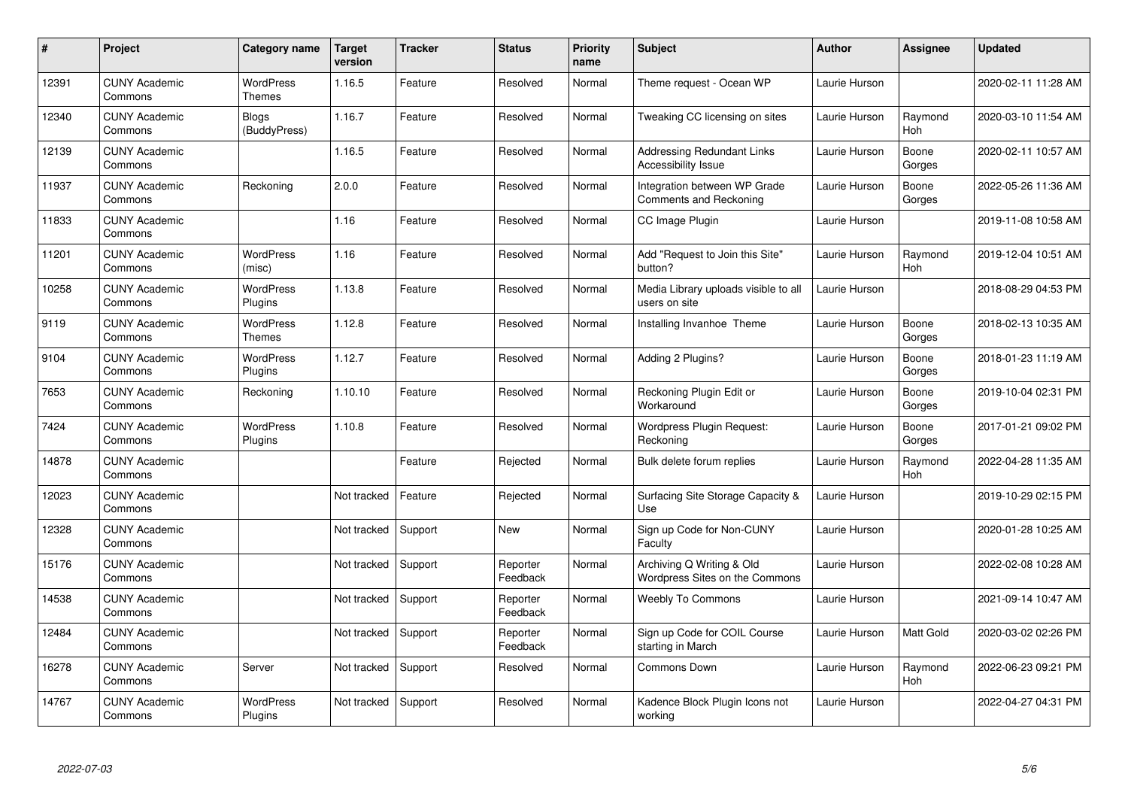| $\#$  | Project                         | Category name                | <b>Target</b><br>version | <b>Tracker</b> | <b>Status</b>        | <b>Priority</b><br>name | <b>Subject</b>                                                  | <b>Author</b> | <b>Assignee</b>  | Updated             |
|-------|---------------------------------|------------------------------|--------------------------|----------------|----------------------|-------------------------|-----------------------------------------------------------------|---------------|------------------|---------------------|
| 12391 | <b>CUNY Academic</b><br>Commons | <b>WordPress</b><br>Themes   | 1.16.5                   | Feature        | Resolved             | Normal                  | Theme request - Ocean WP                                        | Laurie Hurson |                  | 2020-02-11 11:28 AM |
| 12340 | <b>CUNY Academic</b><br>Commons | <b>Blogs</b><br>(BuddyPress) | 1.16.7                   | Feature        | Resolved             | Normal                  | Tweaking CC licensing on sites                                  | Laurie Hurson | Raymond<br>Hoh   | 2020-03-10 11:54 AM |
| 12139 | <b>CUNY Academic</b><br>Commons |                              | 1.16.5                   | Feature        | Resolved             | Normal                  | <b>Addressing Redundant Links</b><br><b>Accessibility Issue</b> | Laurie Hurson | Boone<br>Gorges  | 2020-02-11 10:57 AM |
| 11937 | <b>CUNY Academic</b><br>Commons | Reckoning                    | 2.0.0                    | Feature        | Resolved             | Normal                  | Integration between WP Grade<br>Comments and Reckoning          | Laurie Hurson | Boone<br>Gorges  | 2022-05-26 11:36 AM |
| 11833 | <b>CUNY Academic</b><br>Commons |                              | 1.16                     | Feature        | Resolved             | Normal                  | CC Image Plugin                                                 | Laurie Hurson |                  | 2019-11-08 10:58 AM |
| 11201 | <b>CUNY Academic</b><br>Commons | <b>WordPress</b><br>(misc)   | 1.16                     | Feature        | Resolved             | Normal                  | Add "Request to Join this Site"<br>button?                      | Laurie Hurson | Raymond<br>Hoh   | 2019-12-04 10:51 AM |
| 10258 | <b>CUNY Academic</b><br>Commons | WordPress<br>Plugins         | 1.13.8                   | Feature        | Resolved             | Normal                  | Media Library uploads visible to all<br>users on site           | Laurie Hurson |                  | 2018-08-29 04:53 PM |
| 9119  | <b>CUNY Academic</b><br>Commons | WordPress<br>Themes          | 1.12.8                   | Feature        | Resolved             | Normal                  | Installing Invanhoe Theme                                       | Laurie Hurson | Boone<br>Gorges  | 2018-02-13 10:35 AM |
| 9104  | <b>CUNY Academic</b><br>Commons | <b>WordPress</b><br>Plugins  | 1.12.7                   | Feature        | Resolved             | Normal                  | Adding 2 Plugins?                                               | Laurie Hurson | Boone<br>Gorges  | 2018-01-23 11:19 AM |
| 7653  | <b>CUNY Academic</b><br>Commons | Reckoning                    | 1.10.10                  | Feature        | Resolved             | Normal                  | Reckoning Plugin Edit or<br>Workaround                          | Laurie Hurson | Boone<br>Gorges  | 2019-10-04 02:31 PM |
| 7424  | <b>CUNY Academic</b><br>Commons | <b>WordPress</b><br>Plugins  | 1.10.8                   | Feature        | Resolved             | Normal                  | Wordpress Plugin Request:<br>Reckoning                          | Laurie Hurson | Boone<br>Gorges  | 2017-01-21 09:02 PM |
| 14878 | <b>CUNY Academic</b><br>Commons |                              |                          | Feature        | Rejected             | Normal                  | Bulk delete forum replies                                       | Laurie Hurson | Raymond<br>Hoh   | 2022-04-28 11:35 AM |
| 12023 | <b>CUNY Academic</b><br>Commons |                              | Not tracked              | Feature        | Rejected             | Normal                  | Surfacing Site Storage Capacity &<br>Use                        | Laurie Hurson |                  | 2019-10-29 02:15 PM |
| 12328 | <b>CUNY Academic</b><br>Commons |                              | Not tracked              | Support        | <b>New</b>           | Normal                  | Sign up Code for Non-CUNY<br>Faculty                            | Laurie Hurson |                  | 2020-01-28 10:25 AM |
| 15176 | <b>CUNY Academic</b><br>Commons |                              | Not tracked              | Support        | Reporter<br>Feedback | Normal                  | Archiving Q Writing & Old<br>Wordpress Sites on the Commons     | Laurie Hurson |                  | 2022-02-08 10:28 AM |
| 14538 | <b>CUNY Academic</b><br>Commons |                              | Not tracked              | Support        | Reporter<br>Feedback | Normal                  | Weebly To Commons                                               | Laurie Hurson |                  | 2021-09-14 10:47 AM |
| 12484 | <b>CUNY Academic</b><br>Commons |                              | Not tracked              | Support        | Reporter<br>Feedback | Normal                  | Sign up Code for COIL Course<br>starting in March               | Laurie Hurson | <b>Matt Gold</b> | 2020-03-02 02:26 PM |
| 16278 | <b>CUNY Academic</b><br>Commons | Server                       | Not tracked              | Support        | Resolved             | Normal                  | Commons Down                                                    | Laurie Hurson | Raymond<br>Hoh   | 2022-06-23 09:21 PM |
| 14767 | <b>CUNY Academic</b><br>Commons | WordPress<br>Plugins         | Not tracked              | Support        | Resolved             | Normal                  | Kadence Block Plugin Icons not<br>working                       | Laurie Hurson |                  | 2022-04-27 04:31 PM |